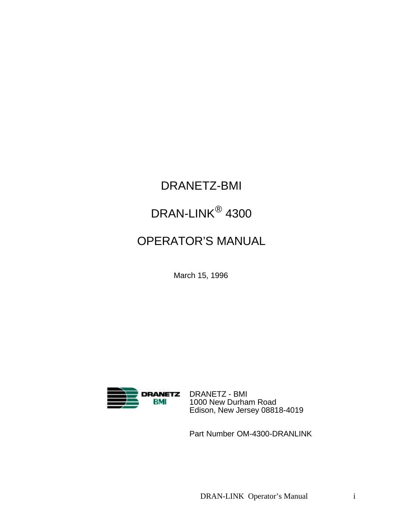# DRANETZ-BMI

# DRAN-LINK® 4300

## OPERATOR'S MANUAL

March 15, 1996



DRANETZ - BMI 1000 New Durham Road Edison, New Jersey 08818-4019

Part Number OM-4300-DRANLINK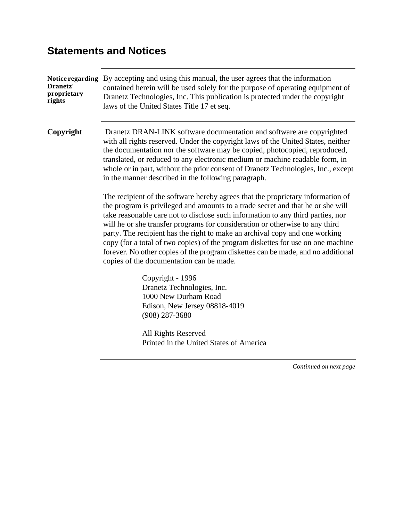## **Statements and Notices**

| Dranetz'<br>proprietary<br>rights | Notice regarding By accepting and using this manual, the user agrees that the information<br>contained herein will be used solely for the purpose of operating equipment of<br>Dranetz Technologies, Inc. This publication is protected under the copyright<br>laws of the United States Title 17 et seq.                                                                                                                                                                                                                                                                                                                                |  |  |  |  |  |  |
|-----------------------------------|------------------------------------------------------------------------------------------------------------------------------------------------------------------------------------------------------------------------------------------------------------------------------------------------------------------------------------------------------------------------------------------------------------------------------------------------------------------------------------------------------------------------------------------------------------------------------------------------------------------------------------------|--|--|--|--|--|--|
| Copyright                         | Dranetz DRAN-LINK software documentation and software are copyrighted<br>with all rights reserved. Under the copyright laws of the United States, neither<br>the documentation nor the software may be copied, photocopied, reproduced,<br>translated, or reduced to any electronic medium or machine readable form, in<br>whole or in part, without the prior consent of Dranetz Technologies, Inc., except<br>in the manner described in the following paragraph.                                                                                                                                                                      |  |  |  |  |  |  |
|                                   | The recipient of the software hereby agrees that the proprietary information of<br>the program is privileged and amounts to a trade secret and that he or she will<br>take reasonable care not to disclose such information to any third parties, nor<br>will he or she transfer programs for consideration or otherwise to any third<br>party. The recipient has the right to make an archival copy and one working<br>copy (for a total of two copies) of the program diskettes for use on one machine<br>forever. No other copies of the program diskettes can be made, and no additional<br>copies of the documentation can be made. |  |  |  |  |  |  |
|                                   | Copyright - 1996<br>Dranetz Technologies, Inc.<br>1000 New Durham Road<br>Edison, New Jersey 08818-4019<br>$(908)$ 287-3680                                                                                                                                                                                                                                                                                                                                                                                                                                                                                                              |  |  |  |  |  |  |
|                                   | All Rights Reserved<br>Printed in the United States of America                                                                                                                                                                                                                                                                                                                                                                                                                                                                                                                                                                           |  |  |  |  |  |  |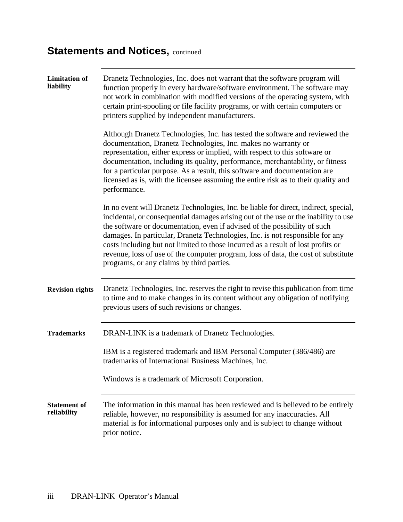# **Statements and Notices, continued**

| <b>Limitation</b> of<br>liability  | Dranetz Technologies, Inc. does not warrant that the software program will<br>function properly in every hardware/software environment. The software may<br>not work in combination with modified versions of the operating system, with<br>certain print-spooling or file facility programs, or with certain computers or<br>printers supplied by independent manufacturers.                                                                                                                                                                                    |
|------------------------------------|------------------------------------------------------------------------------------------------------------------------------------------------------------------------------------------------------------------------------------------------------------------------------------------------------------------------------------------------------------------------------------------------------------------------------------------------------------------------------------------------------------------------------------------------------------------|
|                                    | Although Dranetz Technologies, Inc. has tested the software and reviewed the<br>documentation, Dranetz Technologies, Inc. makes no warranty or<br>representation, either express or implied, with respect to this software or<br>documentation, including its quality, performance, merchantability, or fitness<br>for a particular purpose. As a result, this software and documentation are<br>licensed as is, with the licensee assuming the entire risk as to their quality and<br>performance.                                                              |
|                                    | In no event will Dranetz Technologies, Inc. be liable for direct, indirect, special,<br>incidental, or consequential damages arising out of the use or the inability to use<br>the software or documentation, even if advised of the possibility of such<br>damages. In particular, Dranetz Technologies, Inc. is not responsible for any<br>costs including but not limited to those incurred as a result of lost profits or<br>revenue, loss of use of the computer program, loss of data, the cost of substitute<br>programs, or any claims by third parties. |
| <b>Revision rights</b>             | Dranetz Technologies, Inc. reserves the right to revise this publication from time<br>to time and to make changes in its content without any obligation of notifying<br>previous users of such revisions or changes.                                                                                                                                                                                                                                                                                                                                             |
| <b>Trademarks</b>                  | DRAN-LINK is a trademark of Dranetz Technologies.                                                                                                                                                                                                                                                                                                                                                                                                                                                                                                                |
|                                    | IBM is a registered trademark and IBM Personal Computer (386/486) are<br>trademarks of International Business Machines, Inc.                                                                                                                                                                                                                                                                                                                                                                                                                                     |
|                                    | Windows is a trademark of Microsoft Corporation.                                                                                                                                                                                                                                                                                                                                                                                                                                                                                                                 |
| <b>Statement of</b><br>reliability | The information in this manual has been reviewed and is believed to be entirely<br>reliable, however, no responsibility is assumed for any inaccuracies. All<br>material is for informational purposes only and is subject to change without<br>prior notice.                                                                                                                                                                                                                                                                                                    |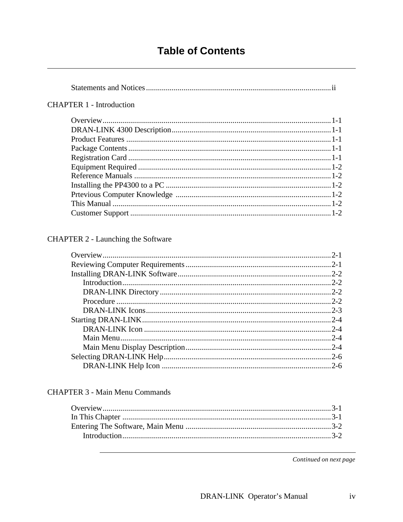#### **Table of Contents**

#### 

#### **CHAPTER 1 - Introduction**

#### **CHAPTER 2 - Launching the Software**

#### **CHAPTER 3 - Main Menu Commands**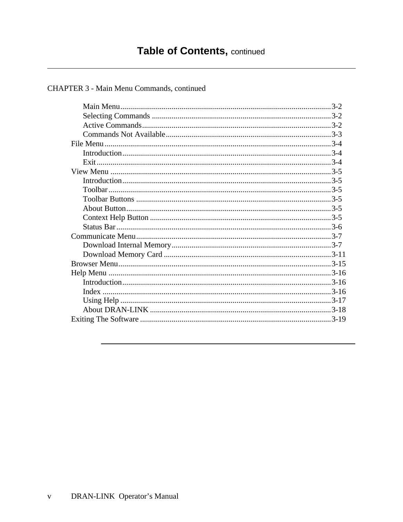#### CHAPTER 3 - Main Menu Commands, continued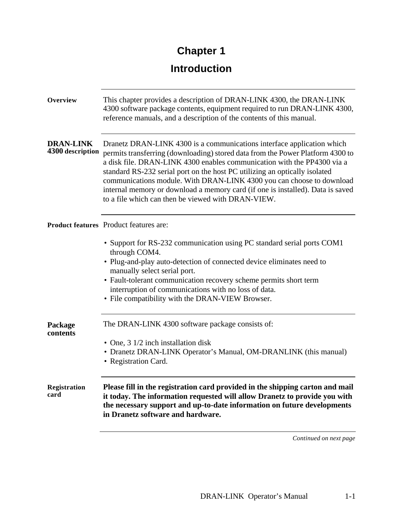# **Chapter 1**

## **Introduction**

| <b>Overview</b>                      | This chapter provides a description of DRAN-LINK 4300, the DRAN-LINK<br>4300 software package contents, equipment required to run DRAN-LINK 4300,<br>reference manuals, and a description of the contents of this manual.                                                                                                                                                                                                                                                                                                          |
|--------------------------------------|------------------------------------------------------------------------------------------------------------------------------------------------------------------------------------------------------------------------------------------------------------------------------------------------------------------------------------------------------------------------------------------------------------------------------------------------------------------------------------------------------------------------------------|
| <b>DRAN-LINK</b><br>4300 description | Dranetz DRAN-LINK 4300 is a communications interface application which<br>permits transferring (downloading) stored data from the Power Platform 4300 to<br>a disk file. DRAN-LINK 4300 enables communication with the PP4300 via a<br>standard RS-232 serial port on the host PC utilizing an optically isolated<br>communications module. With DRAN-LINK 4300 you can choose to download<br>internal memory or download a memory card (if one is installed). Data is saved<br>to a file which can then be viewed with DRAN-VIEW. |
|                                      | <b>Product features</b> Product features are:                                                                                                                                                                                                                                                                                                                                                                                                                                                                                      |
|                                      | • Support for RS-232 communication using PC standard serial ports COM1<br>through COM4.<br>• Plug-and-play auto-detection of connected device eliminates need to<br>manually select serial port.<br>• Fault-tolerant communication recovery scheme permits short term<br>interruption of communications with no loss of data.<br>• File compatibility with the DRAN-VIEW Browser.                                                                                                                                                  |
| Package<br>contents                  | The DRAN-LINK 4300 software package consists of:                                                                                                                                                                                                                                                                                                                                                                                                                                                                                   |
|                                      | • One, 3 1/2 inch installation disk<br>• Dranetz DRAN-LINK Operator's Manual, OM-DRANLINK (this manual)<br>• Registration Card.                                                                                                                                                                                                                                                                                                                                                                                                    |
| <b>Registration</b><br>card          | Please fill in the registration card provided in the shipping carton and mail<br>it today. The information requested will allow Dranetz to provide you with<br>the necessary support and up-to-date information on future developments<br>in Dranetz software and hardware.                                                                                                                                                                                                                                                        |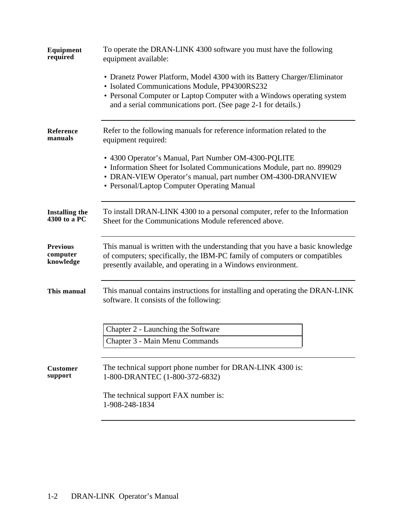| Equipment<br>required                    | To operate the DRAN-LINK 4300 software you must have the following<br>equipment available:                                                                                                                                                    |
|------------------------------------------|-----------------------------------------------------------------------------------------------------------------------------------------------------------------------------------------------------------------------------------------------|
|                                          | • Dranetz Power Platform, Model 4300 with its Battery Charger/Eliminator<br>· Isolated Communications Module, PP4300RS232<br>• Personal Computer or Laptop Computer with a Windows operating system                                           |
|                                          | and a serial communications port. (See page 2-1 for details.)                                                                                                                                                                                 |
| Reference<br>manuals                     | Refer to the following manuals for reference information related to the<br>equipment required:                                                                                                                                                |
|                                          | • 4300 Operator's Manual, Part Number OM-4300-PQLITE<br>• Information Sheet for Isolated Communications Module, part no. 899029<br>• DRAN-VIEW Operator's manual, part number OM-4300-DRANVIEW<br>• Personal/Laptop Computer Operating Manual |
| <b>Installing the</b><br>4300 to a PC    | To install DRAN-LINK 4300 to a personal computer, refer to the Information<br>Sheet for the Communications Module referenced above.                                                                                                           |
| <b>Previous</b><br>computer<br>knowledge | This manual is written with the understanding that you have a basic knowledge<br>of computers; specifically, the IBM-PC family of computers or compatibles<br>presently available, and operating in a Windows environment.                    |
| This manual                              | This manual contains instructions for installing and operating the DRAN-LINK<br>software. It consists of the following:                                                                                                                       |
|                                          | Chapter 2 - Launching the Software                                                                                                                                                                                                            |
|                                          | Chapter 3 - Main Menu Commands                                                                                                                                                                                                                |
| <b>Customer</b><br>support               | The technical support phone number for DRAN-LINK 4300 is:<br>1-800-DRANTEC (1-800-372-6832)                                                                                                                                                   |
|                                          | The technical support FAX number is:<br>1-908-248-1834                                                                                                                                                                                        |
|                                          |                                                                                                                                                                                                                                               |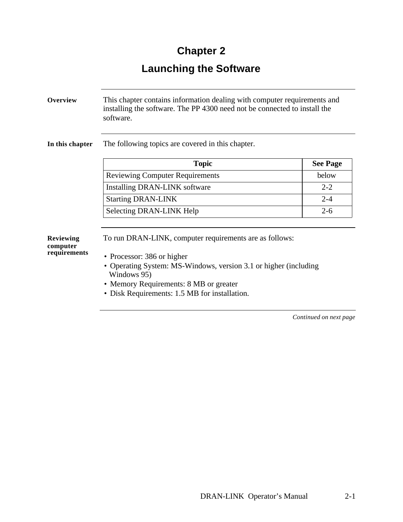# **Chapter 2**

# **Launching the Software**

| Overview                                     | This chapter contains information dealing with computer requirements and<br>installing the software. The PP 4300 need not be connected to install the<br>software.                                                                                                |                 |  |  |  |  |
|----------------------------------------------|-------------------------------------------------------------------------------------------------------------------------------------------------------------------------------------------------------------------------------------------------------------------|-----------------|--|--|--|--|
| In this chapter                              | The following topics are covered in this chapter.                                                                                                                                                                                                                 |                 |  |  |  |  |
|                                              | <b>Topic</b>                                                                                                                                                                                                                                                      | <b>See Page</b> |  |  |  |  |
|                                              | <b>Reviewing Computer Requirements</b>                                                                                                                                                                                                                            | below           |  |  |  |  |
|                                              | Installing DRAN-LINK software                                                                                                                                                                                                                                     | $2 - 2$         |  |  |  |  |
|                                              | <b>Starting DRAN-LINK</b>                                                                                                                                                                                                                                         | $2 - 4$         |  |  |  |  |
|                                              | Selecting DRAN-LINK Help                                                                                                                                                                                                                                          | $2 - 6$         |  |  |  |  |
| <b>Reviewing</b><br>computer<br>requirements | To run DRAN-LINK, computer requirements are as follows:<br>• Processor: 386 or higher<br>• Operating System: MS-Windows, version 3.1 or higher (including<br>Windows 95)<br>• Memory Requirements: 8 MB or greater<br>Disk Requirements: 1.5 MB for installation. |                 |  |  |  |  |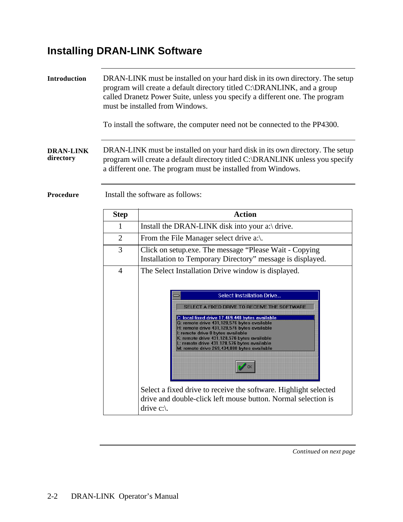# **Installing DRAN-LINK Software**

| Introduction                  |                                  | DRAN-LINK must be installed on your hard disk in its own directory. The setup<br>program will create a default directory titled C:\DRANLINK, and a group<br>called Dranetz Power Suite, unless you specify a different one. The program<br>must be installed from Windows.<br>To install the software, the computer need not be connected to the PP4300.                                                                                                                                                                                                                                                                                               |  |  |  |  |  |  |  |
|-------------------------------|----------------------------------|--------------------------------------------------------------------------------------------------------------------------------------------------------------------------------------------------------------------------------------------------------------------------------------------------------------------------------------------------------------------------------------------------------------------------------------------------------------------------------------------------------------------------------------------------------------------------------------------------------------------------------------------------------|--|--|--|--|--|--|--|
| <b>DRAN-LINK</b><br>directory |                                  | DRAN-LINK must be installed on your hard disk in its own directory. The setup<br>program will create a default directory titled C:\DRANLINK unless you specify<br>a different one. The program must be installed from Windows.                                                                                                                                                                                                                                                                                                                                                                                                                         |  |  |  |  |  |  |  |
| Procedure                     | Install the software as follows: |                                                                                                                                                                                                                                                                                                                                                                                                                                                                                                                                                                                                                                                        |  |  |  |  |  |  |  |
|                               | <b>Step</b>                      | <b>Action</b>                                                                                                                                                                                                                                                                                                                                                                                                                                                                                                                                                                                                                                          |  |  |  |  |  |  |  |
|                               | 1                                | Install the DRAN-LINK disk into your a:\ drive.                                                                                                                                                                                                                                                                                                                                                                                                                                                                                                                                                                                                        |  |  |  |  |  |  |  |
|                               | $\overline{2}$                   | From the File Manager select drive a:\.                                                                                                                                                                                                                                                                                                                                                                                                                                                                                                                                                                                                                |  |  |  |  |  |  |  |
|                               | 3                                | Click on setup.exe. The message "Please Wait - Copying<br>Installation to Temporary Directory" message is displayed.                                                                                                                                                                                                                                                                                                                                                                                                                                                                                                                                   |  |  |  |  |  |  |  |
|                               | $\overline{4}$                   | The Select Installation Drive window is displayed.<br><b>Select Installation Drive</b><br>SELECT A FIXED DRIVE TO RECEIVE THE SOFTWARE<br>C: local fixed drive 17,469,440 bytes available<br>G: remote drive 431,128,576 bytes available<br>H: remote drive 431,128,576 bytes available<br>I: remote drive 0 bytes available<br>K: remote drive 431,128,576 bytes available<br>L: remote drive 431,128,576 bytes available<br>M: remote drive 269,434,880 bytes available<br>$\sim$ 0K<br>Select a fixed drive to receive the software. Highlight selected<br>drive and double-click left mouse button. Normal selection is<br>drive $c:\mathcal{C}$ . |  |  |  |  |  |  |  |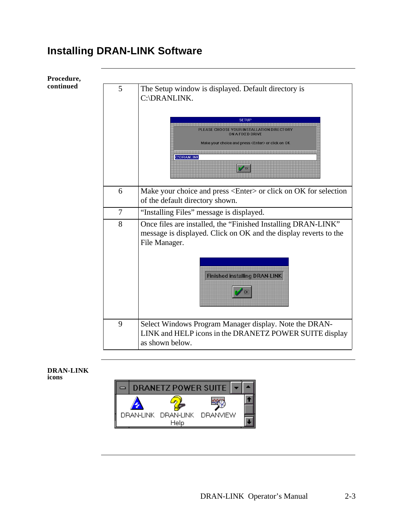## **Installing DRAN-LINK Software**



#### **DRAN-LINK icons**

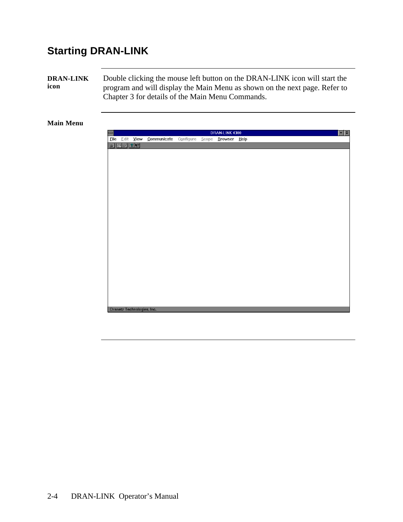## **Starting DRAN-LINK**

**DRAN-LINK icon** Double clicking the mouse left button on the DRAN-LINK icon will start the program and will display the Main Menu as shown on the next page. Refer to Chapter 3 for details of the Main Menu Commands.

#### **Main Menu**

|      |                 |                            |                             | $\begin{tabular}{c} \hline \textbf{r} & \textbf{r} \\ \hline \end{tabular}$<br>DRAN-LINK 4300 |  |              |  |  |  |  |  |  |  |
|------|-----------------|----------------------------|-----------------------------|-----------------------------------------------------------------------------------------------|--|--------------|--|--|--|--|--|--|--|
| Eile |                 | Edit <b>View</b>           | Communicate Configure Scope |                                                                                               |  | Browser Help |  |  |  |  |  |  |  |
|      | $E \boxtimes T$ |                            |                             |                                                                                               |  |              |  |  |  |  |  |  |  |
|      |                 |                            |                             |                                                                                               |  |              |  |  |  |  |  |  |  |
|      |                 |                            |                             |                                                                                               |  |              |  |  |  |  |  |  |  |
|      |                 |                            |                             |                                                                                               |  |              |  |  |  |  |  |  |  |
|      |                 |                            |                             |                                                                                               |  |              |  |  |  |  |  |  |  |
|      |                 |                            |                             |                                                                                               |  |              |  |  |  |  |  |  |  |
|      |                 |                            |                             |                                                                                               |  |              |  |  |  |  |  |  |  |
|      |                 |                            |                             |                                                                                               |  |              |  |  |  |  |  |  |  |
|      |                 |                            |                             |                                                                                               |  |              |  |  |  |  |  |  |  |
|      |                 |                            |                             |                                                                                               |  |              |  |  |  |  |  |  |  |
|      |                 |                            |                             |                                                                                               |  |              |  |  |  |  |  |  |  |
|      |                 |                            |                             |                                                                                               |  |              |  |  |  |  |  |  |  |
|      |                 |                            |                             |                                                                                               |  |              |  |  |  |  |  |  |  |
|      |                 |                            |                             |                                                                                               |  |              |  |  |  |  |  |  |  |
|      |                 |                            |                             |                                                                                               |  |              |  |  |  |  |  |  |  |
|      |                 |                            |                             |                                                                                               |  |              |  |  |  |  |  |  |  |
|      |                 |                            |                             |                                                                                               |  |              |  |  |  |  |  |  |  |
|      |                 |                            |                             |                                                                                               |  |              |  |  |  |  |  |  |  |
|      |                 |                            |                             |                                                                                               |  |              |  |  |  |  |  |  |  |
|      |                 |                            |                             |                                                                                               |  |              |  |  |  |  |  |  |  |
|      |                 |                            |                             |                                                                                               |  |              |  |  |  |  |  |  |  |
|      |                 |                            |                             |                                                                                               |  |              |  |  |  |  |  |  |  |
|      |                 |                            |                             |                                                                                               |  |              |  |  |  |  |  |  |  |
|      |                 |                            |                             |                                                                                               |  |              |  |  |  |  |  |  |  |
|      |                 |                            |                             |                                                                                               |  |              |  |  |  |  |  |  |  |
|      |                 | Dranetz Technologies, Inc. |                             |                                                                                               |  |              |  |  |  |  |  |  |  |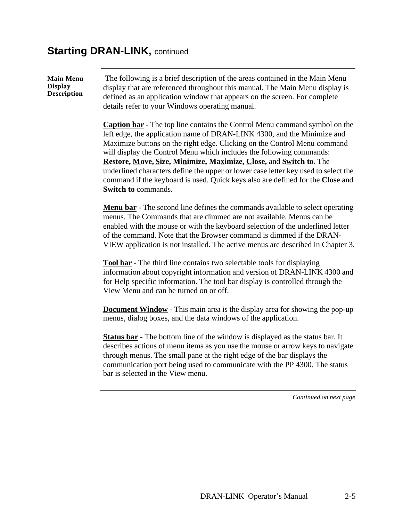#### **Starting DRAN-LINK, continued**

**Main Menu Display Description**

 The following is a brief description of the areas contained in the Main Menu display that are referenced throughout this manual. The Main Menu display is defined as an application window that appears on the screen. For complete details refer to your Windows operating manual.

**Caption bar** - The top line contains the Control Menu command symbol on the left edge, the application name of DRAN-LINK 4300, and the Minimize and Maximize buttons on the right edge. Clicking on the Control Menu command will display the Control Menu which includes the following commands: **Restore, Move, Size, Minimize, Maximize, Close,** and **Switch to**. The underlined characters define the upper or lower case letter key used to select the command if the keyboard is used. Quick keys also are defined for the **Close** and **Switch to** commands.

**Menu bar** - The second line defines the commands available to select operating menus. The Commands that are dimmed are not available. Menus can be enabled with the mouse or with the keyboard selection of the underlined letter of the command. Note that the Browser command is dimmed if the DRAN-VIEW application is not installed. The active menus are described in Chapter 3.

**Tool bar** - The third line contains two selectable tools for displaying information about copyright information and version of DRAN-LINK 4300 and for Help specific information. The tool bar display is controlled through the View Menu and can be turned on or off.

**Document Window** - This main area is the display area for showing the pop-up menus, dialog boxes, and the data windows of the application.

**Status bar** - The bottom line of the window is displayed as the status bar. It describes actions of menu items as you use the mouse or arrow keys to navigate through menus. The small pane at the right edge of the bar displays the communication port being used to communicate with the PP 4300. The status bar is selected in the View menu.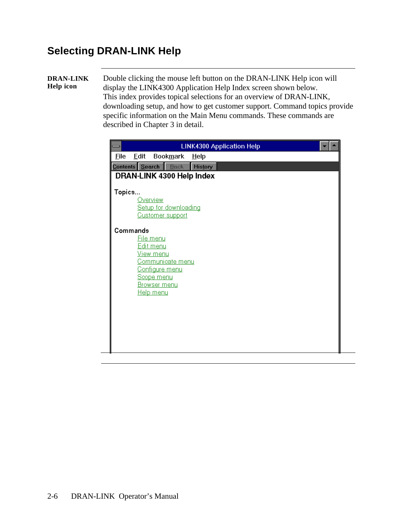### **Selecting DRAN-LINK Help**

#### **DRAN-LINK Help icon**

Double clicking the mouse left button on the DRAN-LINK Help icon will display the LINK4300 Application Help Index screen shown below. This index provides topical selections for an overview of DRAN-LINK, downloading setup, and how to get customer support. Command topics provide specific information on the Main Menu commands. These commands are described in Chapter 3 in detail.

|             |          |                                                                              |                                                           |                           | <b>LINK4300 Application Help</b> |  |  |
|-------------|----------|------------------------------------------------------------------------------|-----------------------------------------------------------|---------------------------|----------------------------------|--|--|
| <b>File</b> | Edit     |                                                                              | Book <u>m</u> ark <u>H</u> elp                            |                           |                                  |  |  |
|             |          |                                                                              | <b>Contents</b> Search <b>Back</b>                        | <b>History</b>            |                                  |  |  |
|             |          |                                                                              |                                                           | DRAN-LINK 4300 Help Index |                                  |  |  |
| Topics      |          | <b>Overview</b>                                                              | Setup for downloading<br><b>Customer support</b>          |                           |                                  |  |  |
|             | Commands | File menu<br><u>Edit menu</u><br><u>View menu</u><br>Scope menu<br>Help menu | Communicate menu<br>Configure menu<br><u>Browser menu</u> |                           |                                  |  |  |
|             |          |                                                                              |                                                           |                           |                                  |  |  |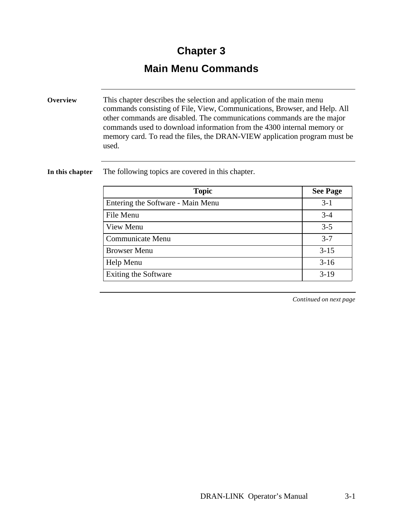## **Chapter 3**

### **Main Menu Commands**

**Overview** This chapter describes the selection and application of the main menu commands consisting of File, View, Communications, Browser, and Help. All other commands are disabled. The communications commands are the major commands used to download information from the 4300 internal memory or memory card. To read the files, the DRAN-VIEW application program must be used.

**In this chapter** The following topics are covered in this chapter.

| <b>Topic</b>                      | <b>See Page</b> |
|-----------------------------------|-----------------|
| Entering the Software - Main Menu | $3-1$           |
| File Menu                         | $3 - 4$         |
| View Menu                         | $3 - 5$         |
| Communicate Menu                  | $3 - 7$         |
| <b>Browser Menu</b>               | $3 - 15$        |
| Help Menu                         | $3-16$          |
| <b>Exiting the Software</b>       | $3-19$          |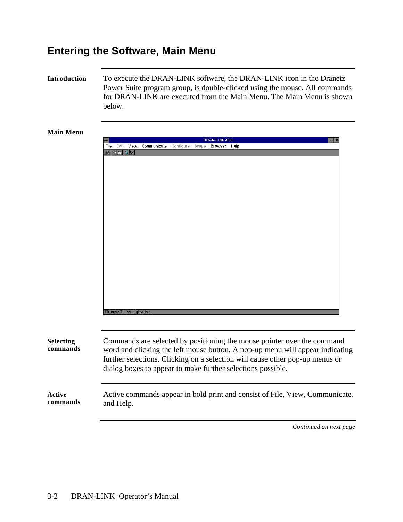### **Entering the Software, Main Menu**

**Introduction** To execute the DRAN-LINK software, the DRAN-LINK icon in the Dranetz Power Suite program group, is double-clicked using the mouse. All commands for DRAN-LINK are executed from the Main Menu. The Main Menu is shown below.

#### **Main Menu**

|                  | DRAN-LINK 4300<br>$\div$                                                      |
|------------------|-------------------------------------------------------------------------------|
|                  | Communicate Configure Scope Browser Help<br>File Edit View                    |
|                  | e de 70                                                                       |
|                  |                                                                               |
|                  |                                                                               |
|                  |                                                                               |
|                  |                                                                               |
|                  |                                                                               |
|                  |                                                                               |
|                  |                                                                               |
|                  |                                                                               |
|                  |                                                                               |
|                  |                                                                               |
|                  |                                                                               |
|                  |                                                                               |
|                  |                                                                               |
|                  |                                                                               |
|                  |                                                                               |
|                  |                                                                               |
|                  |                                                                               |
|                  |                                                                               |
|                  |                                                                               |
|                  |                                                                               |
|                  |                                                                               |
|                  | Dranetz Technologies, Inc.                                                    |
|                  |                                                                               |
|                  |                                                                               |
|                  |                                                                               |
| <b>Selecting</b> | Commands are selected by positioning the mouse pointer over the command       |
| commands         | word and clicking the left mouse button. A pop-up menu will appear indicating |
|                  |                                                                               |
|                  | further selections. Clicking on a selection will cause other pop-up menus or  |
|                  | dialog boxes to appear to make further selections possible.                   |
|                  |                                                                               |
|                  |                                                                               |

**Active commands** Active commands appear in bold print and consist of File, View, Communicate, and Help.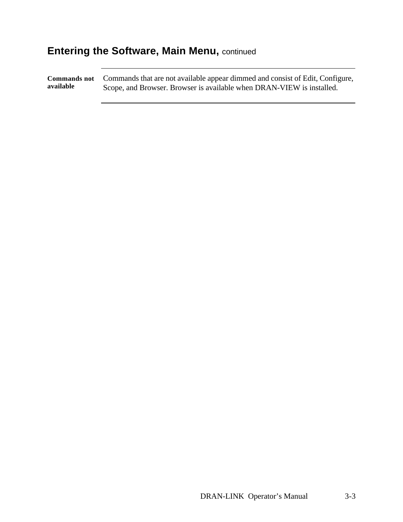## **Entering the Software, Main Menu, continued**

**Commands not available** Commands that are not available appear dimmed and consist of Edit, Configure, Scope, and Browser. Browser is available when DRAN-VIEW is installed.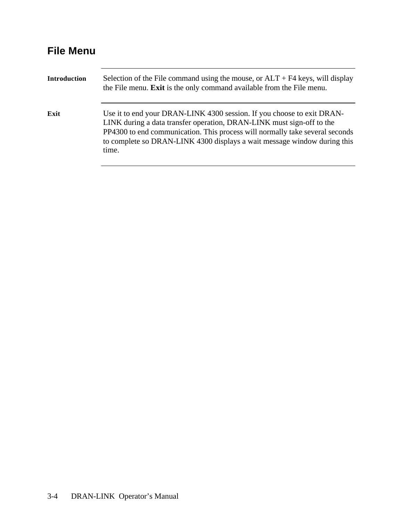## **File Menu**

| <b>Introduction</b> | Selection of the File command using the mouse, or $ALT + F4$ keys, will display<br>the File menu. Exit is the only command available from the File menu.                                                                                                                                                             |
|---------------------|----------------------------------------------------------------------------------------------------------------------------------------------------------------------------------------------------------------------------------------------------------------------------------------------------------------------|
| Exit                | Use it to end your DRAN-LINK 4300 session. If you choose to exit DRAN-<br>LINK during a data transfer operation, DRAN-LINK must sign-off to the<br>PP4300 to end communication. This process will normally take several seconds<br>to complete so DRAN-LINK 4300 displays a wait message window during this<br>time. |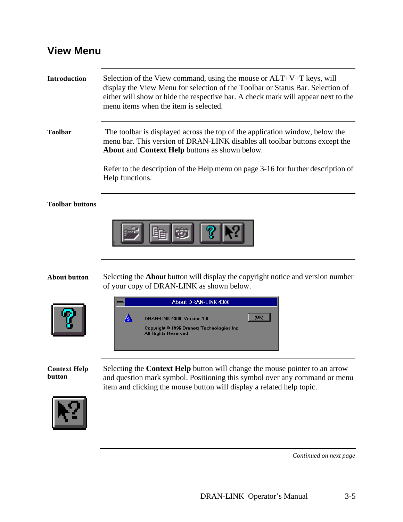#### **View Menu**



of your copy of DRAN-LINK as shown below.





**Context Help**  Selecting the **Context Help** button will change the mouse pointer to an arrow and question mark symbol. Positioning this symbol over any command or menu item and clicking the mouse button will display a related help topic.



**button**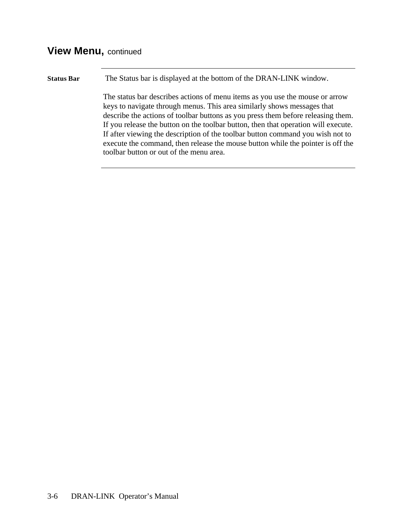#### **View Menu,** continued

**Status Bar** The Status bar is displayed at the bottom of the DRAN-LINK window. The status bar describes actions of menu items as you use the mouse or arrow keys to navigate through menus. This area similarly shows messages that describe the actions of toolbar buttons as you press them before releasing them. If you release the button on the toolbar button, then that operation will execute. If after viewing the description of the toolbar button command you wish not to execute the command, then release the mouse button while the pointer is off the toolbar button or out of the menu area.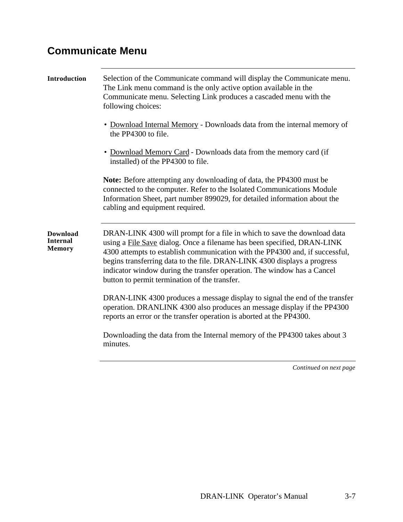## **Communicate Menu**

| <b>Introduction</b>                                 | Selection of the Communicate command will display the Communicate menu.<br>The Link menu command is the only active option available in the<br>Communicate menu. Selecting Link produces a cascaded menu with the<br>following choices:<br>• Download Internal Memory - Downloads data from the internal memory of<br>the PP4300 to file.<br>Download Memory Card - Downloads data from the memory card (if<br>installed) of the PP4300 to file. |
|-----------------------------------------------------|--------------------------------------------------------------------------------------------------------------------------------------------------------------------------------------------------------------------------------------------------------------------------------------------------------------------------------------------------------------------------------------------------------------------------------------------------|
|                                                     | Note: Before attempting any downloading of data, the PP4300 must be<br>connected to the computer. Refer to the Isolated Communications Module<br>Information Sheet, part number 899029, for detailed information about the<br>cabling and equipment required.                                                                                                                                                                                    |
| <b>Download</b><br><b>Internal</b><br><b>Memory</b> | DRAN-LINK 4300 will prompt for a file in which to save the download data<br>using a File Save dialog. Once a filename has been specified, DRAN-LINK<br>4300 attempts to establish communication with the PP4300 and, if successful,<br>begins transferring data to the file. DRAN-LINK 4300 displays a progress<br>indicator window during the transfer operation. The window has a Cancel<br>button to permit termination of the transfer.      |
|                                                     | DRAN-LINK 4300 produces a message display to signal the end of the transfer<br>operation. DRANLINK 4300 also produces an message display if the PP4300<br>reports an error or the transfer operation is aborted at the PP4300.                                                                                                                                                                                                                   |
|                                                     | Downloading the data from the Internal memory of the PP4300 takes about 3<br>minutes.                                                                                                                                                                                                                                                                                                                                                            |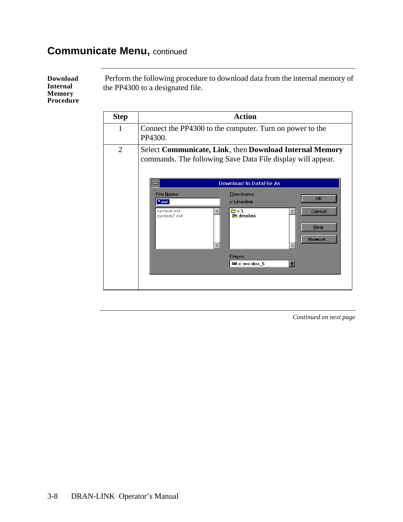**Download Internal Memory Procedure**

 Perform the following procedure to download data from the internal memory of the PP4300 to a designated file.

| <b>Step</b>    | <b>Action</b>                                                                                                                            |
|----------------|------------------------------------------------------------------------------------------------------------------------------------------|
| 1              | Connect the PP4300 to the computer. Turn on power to the<br>PP4300.                                                                      |
| $\overline{2}$ | Select Communicate, Link, then Download Internal Memory<br>commands. The following Save Data File display will appear.                   |
|                | <b>Download to DataFile As</b>                                                                                                           |
|                | <b>File Name:</b><br><b>Directories:</b><br><b>OK</b><br>*.evt<br>c:\dranlink                                                            |
|                | re c∴<br>system.evt<br>Cancel<br><b>Section</b> dranlink<br>system2.evt<br>Help<br>Network<br>X.<br>Drives:<br>H<br>$\equiv$ c: ms-dos 5 |
|                |                                                                                                                                          |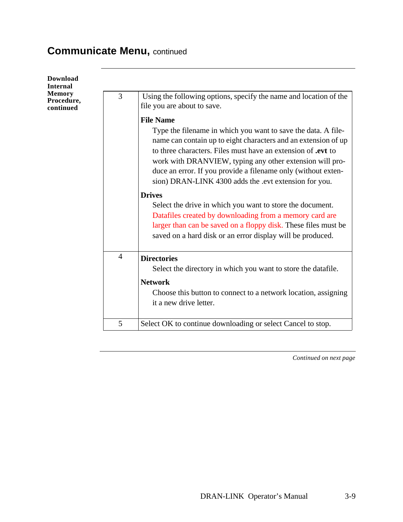| Download<br><b>Internal</b>       |                |                                                                                                                                                                                                                                                                                                                                                                                                                                                                                                                                                                                                                                                                                           |
|-----------------------------------|----------------|-------------------------------------------------------------------------------------------------------------------------------------------------------------------------------------------------------------------------------------------------------------------------------------------------------------------------------------------------------------------------------------------------------------------------------------------------------------------------------------------------------------------------------------------------------------------------------------------------------------------------------------------------------------------------------------------|
| Memory<br>Procedure,<br>continued | 3              | Using the following options, specify the name and location of the<br>file you are about to save.                                                                                                                                                                                                                                                                                                                                                                                                                                                                                                                                                                                          |
|                                   |                | <b>File Name</b><br>Type the filename in which you want to save the data. A file-<br>name can contain up to eight characters and an extension of up<br>to three characters. Files must have an extension of <b>.evt</b> to<br>work with DRANVIEW, typing any other extension will pro-<br>duce an error. If you provide a filename only (without exten-<br>sion) DRAN-LINK 4300 adds the .evt extension for you.<br><b>Drives</b><br>Select the drive in which you want to store the document.<br>Datafiles created by downloading from a memory card are<br>larger than can be saved on a floppy disk. These files must be<br>saved on a hard disk or an error display will be produced. |
|                                   | $\overline{4}$ | <b>Directories</b><br>Select the directory in which you want to store the datafile.<br><b>Network</b>                                                                                                                                                                                                                                                                                                                                                                                                                                                                                                                                                                                     |
|                                   | 5              | Choose this button to connect to a network location, assigning<br>it a new drive letter.<br>Select OK to continue downloading or select Cancel to stop.                                                                                                                                                                                                                                                                                                                                                                                                                                                                                                                                   |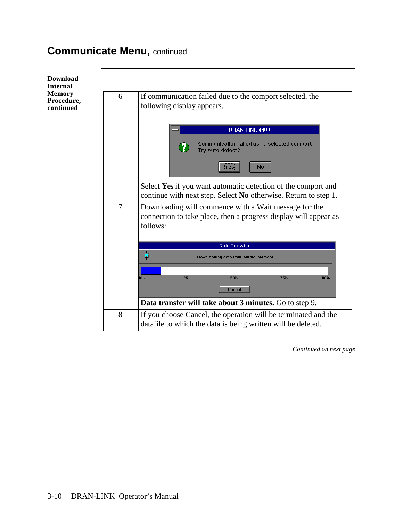| <b>Download</b><br><b>Internal</b>       |   |                                                                                                                                       |
|------------------------------------------|---|---------------------------------------------------------------------------------------------------------------------------------------|
| <b>Memory</b><br>Procedure,<br>continued | 6 | If communication failed due to the comport selected, the<br>following display appears.                                                |
|                                          |   | DRAN-LINK 4300<br>Communication failed using selected comport<br>Try Auto-detect?<br>Yes<br><b>No</b>                                 |
|                                          |   | Select Yes if you want automatic detection of the comport and<br>continue with next step. Select No otherwise. Return to step 1.      |
|                                          | 7 | Downloading will commence with a Wait message for the<br>connection to take place, then a progress display will appear as<br>follows: |
|                                          |   | <b>Data Transfer</b><br>$\frac{1}{\sqrt{2}}$<br>Downloading data from Internal Memory                                                 |
|                                          |   | 25%<br>$0\%$<br>50%<br>75%<br>100%<br>Cancel<br>Data transfer will take about 3 minutes. Go to step 9.                                |
|                                          | 8 | If you choose Cancel, the operation will be terminated and the<br>datafile to which the data is being written will be deleted.        |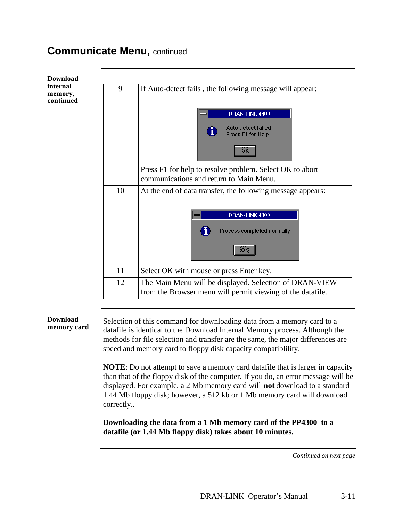| <b>Download</b>                  |    |                                                                                                                       |
|----------------------------------|----|-----------------------------------------------------------------------------------------------------------------------|
| internal<br>memory,<br>continued | 9  | If Auto-detect fails, the following message will appear:                                                              |
|                                  |    | DRAN-LINK 4300                                                                                                        |
|                                  |    | Auto-detect failed<br>Press F1 for Help                                                                               |
|                                  |    | ок                                                                                                                    |
|                                  |    | Press F1 for help to resolve problem. Select OK to abort                                                              |
|                                  |    | communications and return to Main Menu.                                                                               |
|                                  | 10 | At the end of data transfer, the following message appears:                                                           |
|                                  |    | DRAN-LINK 4300<br>Process completed normally<br><b>OK</b>                                                             |
|                                  | 11 | Select OK with mouse or press Enter key.                                                                              |
|                                  | 12 | The Main Menu will be displayed. Selection of DRAN-VIEW<br>from the Browser menu will permit viewing of the datafile. |

**Download memory card** 

Selection of this command for downloading data from a memory card to a datafile is identical to the Download Internal Memory process. Although the methods for file selection and transfer are the same, the major differences are speed and memory card to floppy disk capacity compatiblility.

**NOTE**: Do not attempt to save a memory card datafile that is larger in capacity than that of the floppy disk of the computer. If you do, an error message will be displayed. For example, a 2 Mb memory card will **not** download to a standard 1.44 Mb floppy disk; however, a 512 kb or 1 Mb memory card will download correctly..

**Downloading the data from a 1 Mb memory card of the PP4300 to a datafile (or 1.44 Mb floppy disk) takes about 10 minutes.**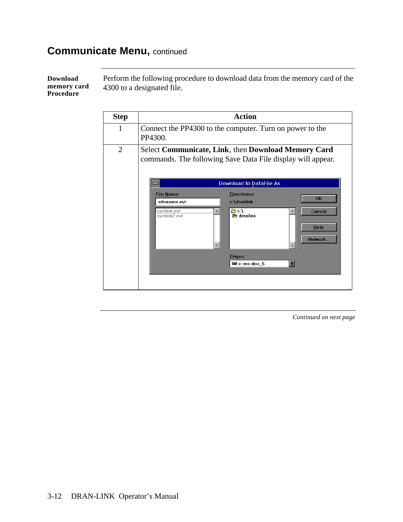**Download memory card Procedure**

Perform the following procedure to download data from the memory card of the 4300 to a designated file.

| <b>Step</b>    | <b>Action</b>                                                                                                      |
|----------------|--------------------------------------------------------------------------------------------------------------------|
| 1              | Connect the PP4300 to the computer. Turn on power to the<br>PP4300.                                                |
| $\overline{2}$ | Select Communicate, Link, then Download Memory Card<br>commands. The following Save Data File display will appear. |
|                | <b>Download to DataFile As</b>                                                                                     |
|                | <b>File Name:</b><br><b>Directories:</b><br><b>OK</b><br>c:\dranlink<br>sitename.evt                               |
|                | re c∴<br>system.evt<br>Cancel<br>鈭<br><b>Section</b> dranlink<br>system2.evt<br>Help<br>Network                    |
|                | Drives:<br>王<br>$\equiv$ c: ms-dos 5                                                                               |
|                |                                                                                                                    |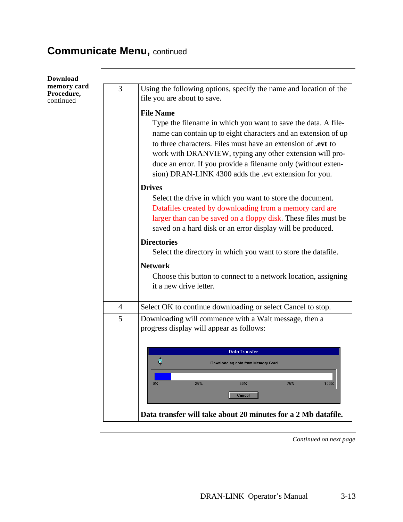| <b>Download</b>                        |                |                                                                                                                                                                                                                                                      |
|----------------------------------------|----------------|------------------------------------------------------------------------------------------------------------------------------------------------------------------------------------------------------------------------------------------------------|
| memory card<br>Procedure,<br>continued | 3              | Using the following options, specify the name and location of the<br>file you are about to save.                                                                                                                                                     |
|                                        |                | <b>File Name</b><br>Type the filename in which you want to save the data. A file-<br>name can contain up to eight characters and an extension of up<br>to three characters. Files must have an extension of <b>.evt</b> to                           |
|                                        |                | work with DRANVIEW, typing any other extension will pro-<br>duce an error. If you provide a filename only (without exten-<br>sion) DRAN-LINK 4300 adds the .evt extension for you.                                                                   |
|                                        |                | <b>Drives</b>                                                                                                                                                                                                                                        |
|                                        |                | Select the drive in which you want to store the document.<br>Datafiles created by downloading from a memory card are<br>larger than can be saved on a floppy disk. These files must be<br>saved on a hard disk or an error display will be produced. |
|                                        |                | <b>Directories</b>                                                                                                                                                                                                                                   |
|                                        |                | Select the directory in which you want to store the datafile.                                                                                                                                                                                        |
|                                        |                | <b>Network</b>                                                                                                                                                                                                                                       |
|                                        |                | Choose this button to connect to a network location, assigning                                                                                                                                                                                       |
|                                        |                | it a new drive letter.                                                                                                                                                                                                                               |
|                                        | $\overline{4}$ | Select OK to continue downloading or select Cancel to stop.                                                                                                                                                                                          |
|                                        | 5              | Downloading will commence with a Wait message, then a<br>progress display will appear as follows:                                                                                                                                                    |
|                                        |                | <b>Data Transfer</b><br>∊<br>Downloading data from Memory Card<br>$0\%$<br>25%<br>50%<br>75%<br>100%                                                                                                                                                 |
|                                        |                | Cancel                                                                                                                                                                                                                                               |
|                                        |                | Data transfer will take about 20 minutes for a 2 Mb datafile.                                                                                                                                                                                        |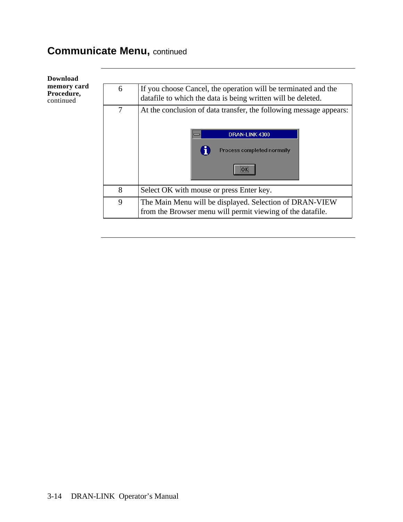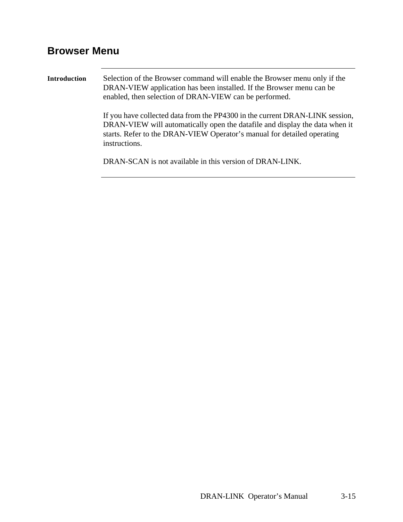## **Browser Menu**

| <b>Introduction</b> | Selection of the Browser command will enable the Browser menu only if the<br>DRAN-VIEW application has been installed. If the Browser menu can be<br>enabled, then selection of DRAN-VIEW can be performed.                                             |  |  |  |
|---------------------|---------------------------------------------------------------------------------------------------------------------------------------------------------------------------------------------------------------------------------------------------------|--|--|--|
|                     | If you have collected data from the PP4300 in the current DRAN-LINK session,<br>DRAN-VIEW will automatically open the datafile and display the data when it<br>starts. Refer to the DRAN-VIEW Operator's manual for detailed operating<br>instructions. |  |  |  |
|                     | DRAN-SCAN is not available in this version of DRAN-LINK.                                                                                                                                                                                                |  |  |  |
|                     |                                                                                                                                                                                                                                                         |  |  |  |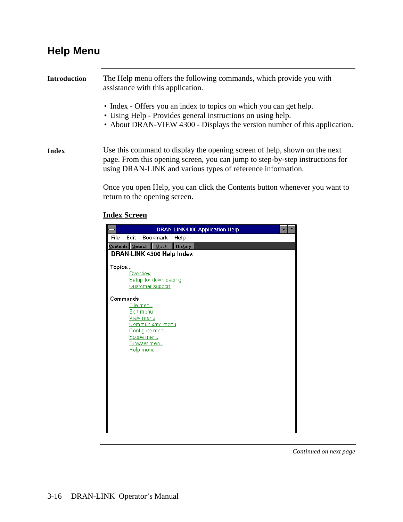### **Help Menu**

| <b>Introduction</b> | The Help menu offers the following commands, which provide you with<br>assistance with this application.                                                                                                                  |
|---------------------|---------------------------------------------------------------------------------------------------------------------------------------------------------------------------------------------------------------------------|
|                     | • Index - Offers you an index to topics on which you can get help.<br>• Using Help - Provides general instructions on using help.<br>• About DRAN-VIEW 4300 - Displays the version number of this application.            |
| Index               | Use this command to display the opening screen of help, shown on the next<br>page. From this opening screen, you can jump to step-by-step instructions for<br>using DRAN-LINK and various types of reference information. |
|                     | $1.11 \times 1.1$                                                                                                                                                                                                         |

Once you open Help, you can click the Contents button whenever you want to return to the opening screen.

#### **Index Screen**

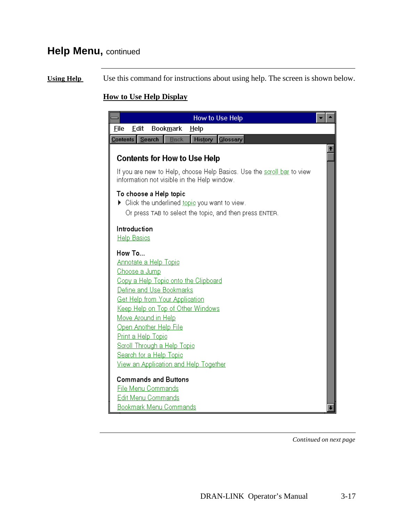## **Help Menu,** continued

**Using Help** Use this command for instructions about using help. The screen is shown below.

#### **How to Use Help Display**

| How to Use Help                                                                                                       |  |
|-----------------------------------------------------------------------------------------------------------------------|--|
| File<br><b>Bookmark</b><br>Edit<br>Help                                                                               |  |
| Search<br>Glossary<br>Contents   <br><b>History</b><br>Back                                                           |  |
|                                                                                                                       |  |
| <b>Contents for How to Use Help</b>                                                                                   |  |
| If you are new to Help, choose Help Basics. Use the scroll bar to view<br>information not visible in the Help window. |  |
| To choose a Help topic                                                                                                |  |
| $\blacktriangleright$ Click the underlined <u>topic</u> you want to view.                                             |  |
| Or press TAB to select the topic, and then press ENTER.                                                               |  |
| Introduction                                                                                                          |  |
| <b>Help Basics</b>                                                                                                    |  |
|                                                                                                                       |  |
| How To                                                                                                                |  |
| <b>Annotate a Help Topic</b>                                                                                          |  |
| <u>Choose a Jump</u>                                                                                                  |  |
| Copy a Help Topic onto the Clipboard                                                                                  |  |
| Define and Use Bookmarks                                                                                              |  |
| Get Help from Your Application                                                                                        |  |
| Keep Help on Top of Other Windows                                                                                     |  |
| Move Around in Help                                                                                                   |  |
| Open Another Help File                                                                                                |  |
| Print a Help Topic                                                                                                    |  |
| Scroll Through a Help Topic                                                                                           |  |
| Search for a Help Topic                                                                                               |  |
| View an Application and Help Together                                                                                 |  |
| <b>Commands and Buttons</b>                                                                                           |  |
| <b>File Menu Commands</b>                                                                                             |  |
| Edit Menu Commands                                                                                                    |  |
| <b>Bookmark Menu Commands</b>                                                                                         |  |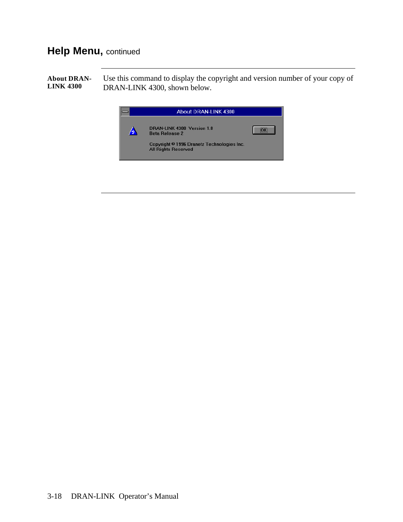### **Help Menu,** continued

**About DRAN-LINK 4300**  Use this command to display the copyright and version number of your copy of DRAN-LINK 4300, shown below.